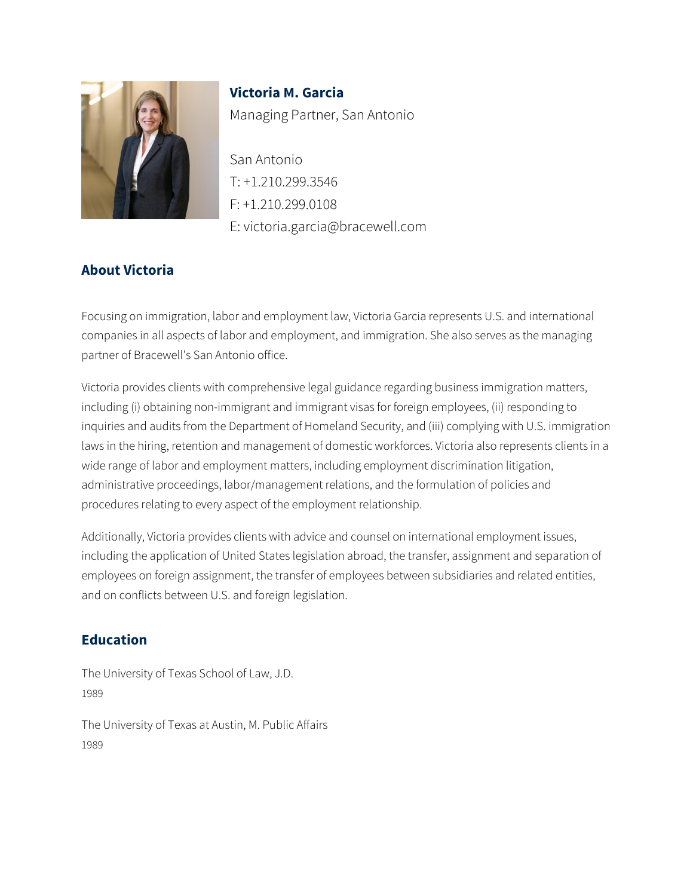

**Victoria M. Garcia** Managing Partner, San Antonio

San Antonio T: +1.210.299.3546 F: +1.210.299.0108 E: victoria.garcia@bracewell.com

# **About Victoria**

Focusing on immigration, labor and employment law, Victoria Garcia represents U.S. and international companies in all aspects of labor and employment, and immigration. She also serves as the managing partner of Bracewell's San Antonio office.

Victoria provides clients with comprehensive legal guidance regarding business immigration matters, including (i) obtaining non-immigrant and immigrant visas for foreign employees, (ii) responding to inquiries and audits from the Department of Homeland Security, and (iii) complying with U.S. immigration laws in the hiring, retention and management of domestic workforces. Victoria also represents clients in a wide range of labor and employment matters, including employment discrimination litigation, administrative proceedings, labor/management relations, and the formulation of policies and procedures relating to every aspect of the employment relationship.

Additionally, Victoria provides clients with advice and counsel on international employment issues, including the application of United States legislation abroad, the transfer, assignment and separation of employees on foreign assignment, the transfer of employees between subsidiaries and related entities, and on conflicts between U.S. and foreign legislation.

### **Education**

The University of Texas School of Law, J.D. 1989

The University of Texas at Austin, M. Public Affairs 1989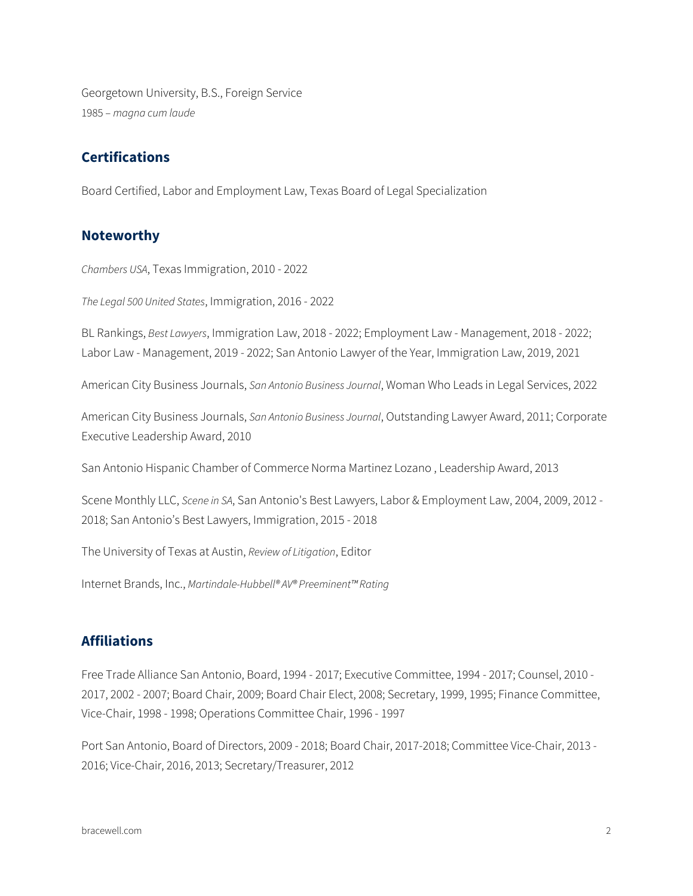Georgetown University, B.S., Foreign Service 1985 – *magna cum laude*

### **Certifications**

Board Certified, Labor and Employment Law, Texas Board of Legal Specialization

#### **Noteworthy**

*Chambers USA*, Texas Immigration, 2010 - 2022

*The Legal 500 United States*, Immigration, 2016 - 2022

BL Rankings, *Best Lawyers*, Immigration Law, 2018 - 2022; Employment Law - Management, 2018 - 2022; Labor Law - Management, 2019 - 2022; San Antonio Lawyer of the Year, Immigration Law, 2019, 2021

American City Business Journals, *San Antonio Business Journal*, Woman Who Leads in Legal Services, 2022

American City Business Journals, *San Antonio Business Journal*, Outstanding Lawyer Award, 2011; Corporate Executive Leadership Award, 2010

San Antonio Hispanic Chamber of Commerce Norma Martinez Lozano , Leadership Award, 2013

Scene Monthly LLC, *Scene in SA*, San Antonio's Best Lawyers, Labor & Employment Law, 2004, 2009, 2012 - 2018; San Antonio's Best Lawyers, Immigration, 2015 - 2018

The University of Texas at Austin, *Review of Litigation*, Editor

Internet Brands, Inc., *Martindale-Hubbell® AV® Preeminent™ Rating*

#### **Affiliations**

Free Trade Alliance San Antonio, Board, 1994 - 2017; Executive Committee, 1994 - 2017; Counsel, 2010 - 2017, 2002 - 2007; Board Chair, 2009; Board Chair Elect, 2008; Secretary, 1999, 1995; Finance Committee, Vice-Chair, 1998 - 1998; Operations Committee Chair, 1996 - 1997

Port San Antonio, Board of Directors, 2009 - 2018; Board Chair, 2017-2018; Committee Vice-Chair, 2013 - 2016; Vice-Chair, 2016, 2013; Secretary/Treasurer, 2012